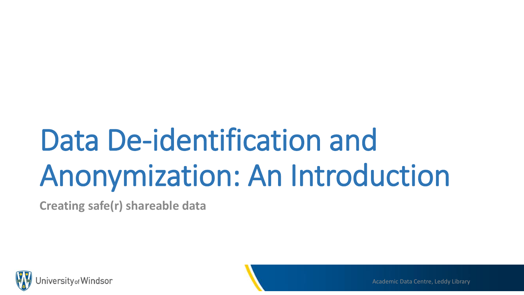# Data De-identification and Anonymization: An Introduction

**Creating safe(r) shareable data**

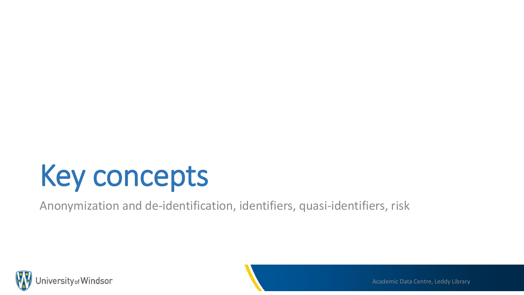## Key concepts

Anonymization and de-identification, identifiers, quasi-identifiers, risk



Academic Data Centre, Leddy Library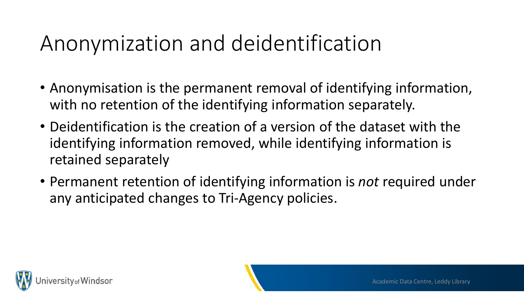#### Anonymization and deidentification

- Anonymisation is the permanent removal of identifying information, with no retention of the identifying information separately.
- Deidentification is the creation of a version of the dataset with the identifying information removed, while identifying information is retained separately
- Permanent retention of identifying information is *not* required under any anticipated changes to Tri-Agency policies.

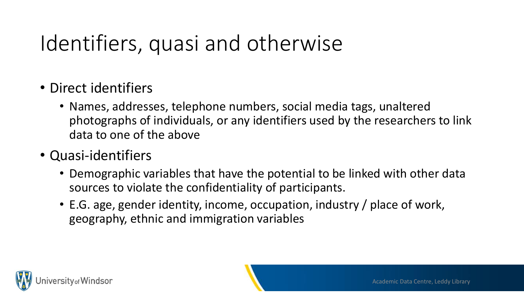#### Identifiers, quasi and otherwise

- Direct identifiers
	- Names, addresses, telephone numbers, social media tags, unaltered photographs of individuals, or any identifiers used by the researchers to link data to one of the above
- Quasi-identifiers
	- Demographic variables that have the potential to be linked with other data sources to violate the confidentiality of participants.
	- E.G. age, gender identity, income, occupation, industry / place of work, geography, ethnic and immigration variables

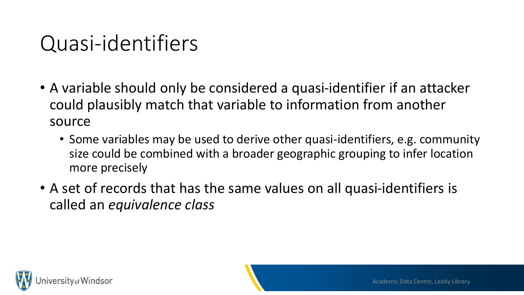#### Quasi-identifiers

- A variable should only be considered a quasi-identifier if an attacker could plausibly match that variable to information from another source
	- Some variables may be used to derive other quasi-identifiers, e.g. community size could be combined with a broader geographic grouping to infer location more precisely
- A set of records that has the same values on all quasi-identifiers is called an *equivalence class*

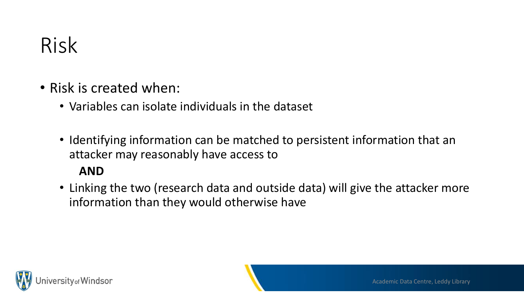#### Risk

- Risk is created when:
	- Variables can isolate individuals in the dataset
	- Identifying information can be matched to persistent information that an attacker may reasonably have access to

#### **AND**

• Linking the two (research data and outside data) will give the attacker more information than they would otherwise have

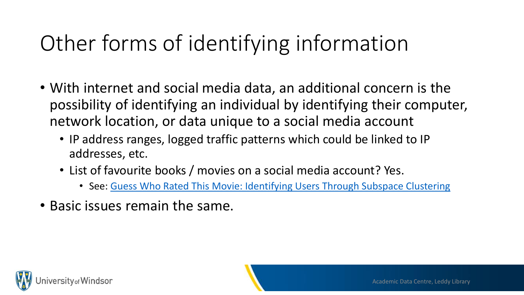#### Other forms of identifying information

- With internet and social media data, an additional concern is the possibility of identifying an individual by identifying their computer, network location, or data unique to a social media account
	- IP address ranges, logged traffic patterns which could be linked to IP addresses, etc.
	- List of favourite books / movies on a social media account? Yes.
		- See: [Guess Who Rated This Movie: Identifying Users Through Subspace Clustering](https://arxiv.org/ftp/arxiv/papers/1408/1408.2055.pdf)
- Basic issues remain the same.

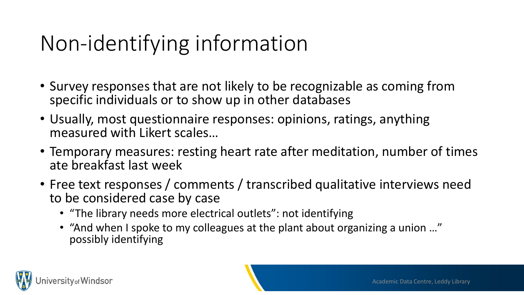#### Non-identifying information

- Survey responses that are not likely to be recognizable as coming from specific individuals or to show up in other databases
- Usually, most questionnaire responses: opinions, ratings, anything measured with Likert scales…
- Temporary measures: resting heart rate after meditation, number of times ate breakfast last week
- Free text responses / comments / transcribed qualitative interviews need to be considered case by case
	- "The library needs more electrical outlets": not identifying
	- "And when I spoke to my colleagues at the plant about organizing a union …" possibly identifying

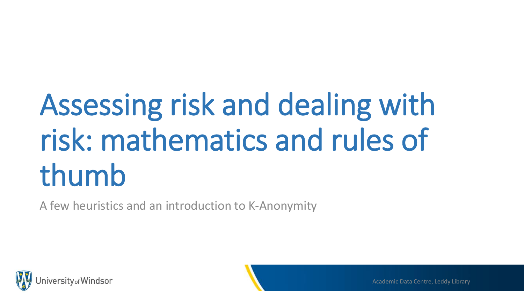# Assessing risk and dealing with risk: mathematics and rules of thumb

A few heuristics and an introduction to K-Anonymity

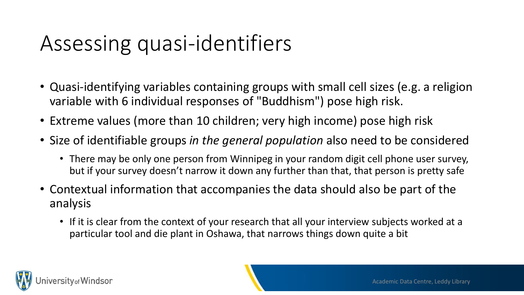#### Assessing quasi-identifiers

- Quasi-identifying variables containing groups with small cell sizes (e.g. a religion variable with 6 individual responses of "Buddhism") pose high risk.
- Extreme values (more than 10 children; very high income) pose high risk
- Size of identifiable groups *in the general population* also need to be considered
	- There may be only one person from Winnipeg in your random digit cell phone user survey, but if your survey doesn't narrow it down any further than that, that person is pretty safe
- Contextual information that accompanies the data should also be part of the analysis
	- If it is clear from the context of your research that all your interview subjects worked at a particular tool and die plant in Oshawa, that narrows things down quite a bit

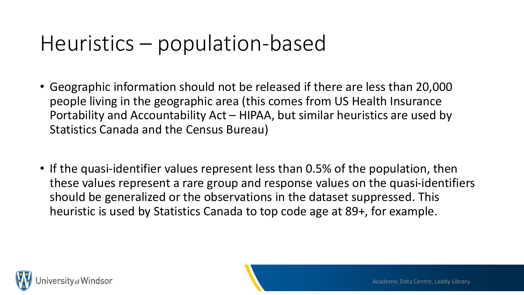#### Heuristics – population-based

- Geographic information should not be released if there are less than 20,000 people living in the geographic area (this comes from US Health Insurance Portability and Accountability Act – HIPAA, but similar heuristics are used by Statistics Canada and the Census Bureau)
- If the quasi-identifier values represent less than 0.5% of the population, then these values represent a rare group and response values on the quasi-identifiers should be generalized or the observations in the dataset suppressed. This heuristic is used by Statistics Canada to top code age at 89+, for example.

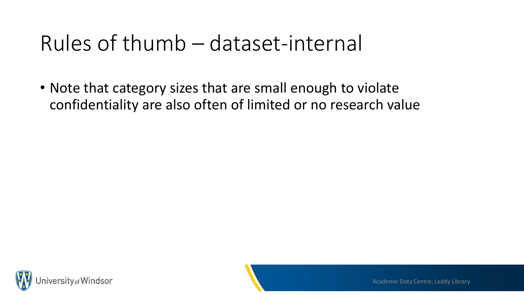#### Rules of thumb – dataset-internal

• Note that category sizes that are small enough to violate confidentiality are also often of limited or no research value

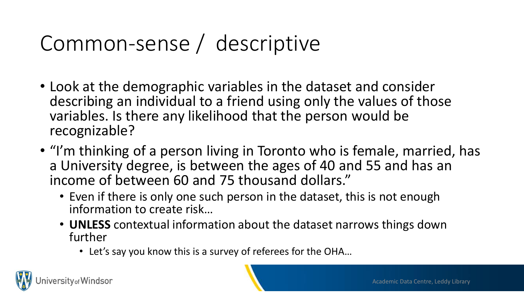#### Common-sense / descriptive

- Look at the demographic variables in the dataset and consider describing an individual to a friend using only the values of those variables. Is there any likelihood that the person would be recognizable?
- "I'm thinking of a person living in Toronto who is female, married, has a University degree, is between the ages of 40 and 55 and has an income of between 60 and 75 thousand dollars."
	- Even if there is only one such person in the dataset, this is not enough information to create risk…
	- **UNLESS** contextual information about the dataset narrows things down further
		- Let's say you know this is a survey of referees for the OHA…

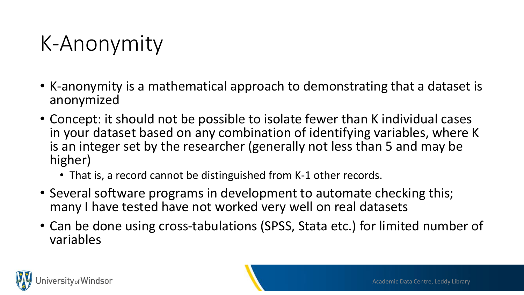#### K-Anonymity

- K-anonymity is a mathematical approach to demonstrating that a dataset is anonymized
- Concept: it should not be possible to isolate fewer than K individual cases in your dataset based on any combination of identifying variables, where K is an integer set by the researcher (generally not less than 5 and may be higher)
	- That is, a record cannot be distinguished from K-1 other records.
- Several software programs in development to automate checking this; many I have tested have not worked very well on real datasets
- Can be done using cross-tabulations (SPSS, Stata etc.) for limited number of variables

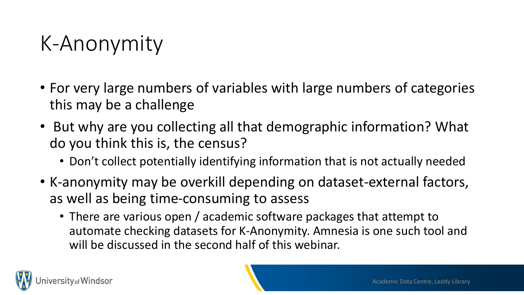#### K-Anonymity

- For very large numbers of variables with large numbers of categories this may be a challenge
- But why are you collecting all that demographic information? What do you think this is, the census?
	- Don't collect potentially identifying information that is not actually needed
- K-anonymity may be overkill depending on dataset-external factors, as well as being time-consuming to assess
	- There are various open / academic software packages that attempt to automate checking datasets for K-Anonymity. Amnesia is one such tool and will be discussed in the second half of this webinar.

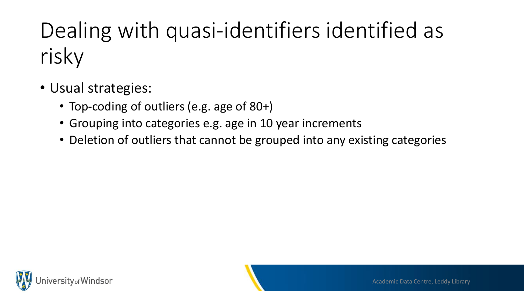### Dealing with quasi-identifiers identified as risky

- Usual strategies:
	- Top-coding of outliers (e.g. age of 80+)
	- Grouping into categories e.g. age in 10 year increments
	- Deletion of outliers that cannot be grouped into any existing categories

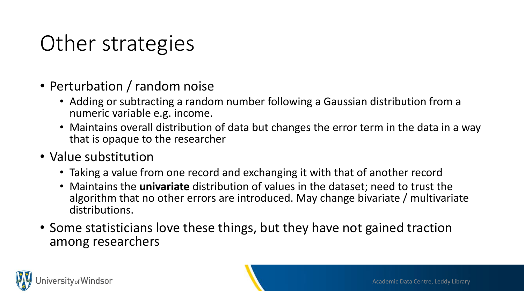#### Other strategies

- Perturbation / random noise
	- Adding or subtracting a random number following a Gaussian distribution from a numeric variable e.g. income.
	- Maintains overall distribution of data but changes the error term in the data in a way that is opaque to the researcher
- Value substitution
	- Taking a value from one record and exchanging it with that of another record
	- Maintains the **univariate** distribution of values in the dataset; need to trust the algorithm that no other errors are introduced. May change bivariate / multivariate distributions.
- Some statisticians love these things, but they have not gained traction among researchers

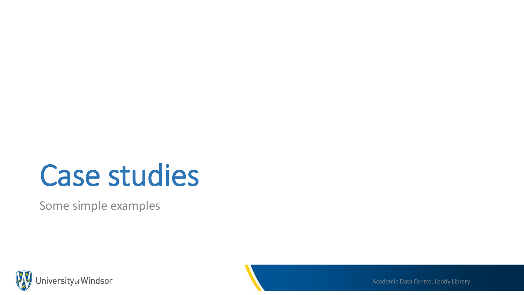### Case studies

Some simple examples



Academic Data Centre, Leddy Library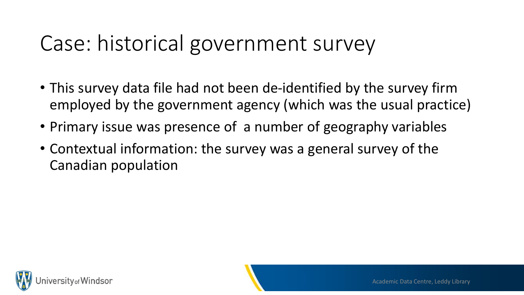#### Case: historical government survey

- This survey data file had not been de-identified by the survey firm employed by the government agency (which was the usual practice)
- Primary issue was presence of a number of geography variables
- Contextual information: the survey was a general survey of the Canadian population

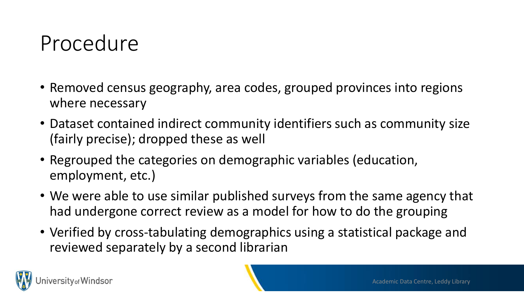#### Procedure

- Removed census geography, area codes, grouped provinces into regions where necessary
- Dataset contained indirect community identifiers such as community size (fairly precise); dropped these as well
- Regrouped the categories on demographic variables (education, employment, etc.)
- We were able to use similar published surveys from the same agency that had undergone correct review as a model for how to do the grouping
- Verified by cross-tabulating demographics using a statistical package and reviewed separately by a second librarian

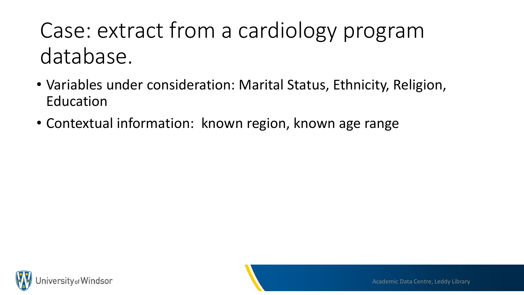#### Case: extract from a cardiology program database.

- Variables under consideration: Marital Status, Ethnicity, Religion, Education
- Contextual information: known region, known age range

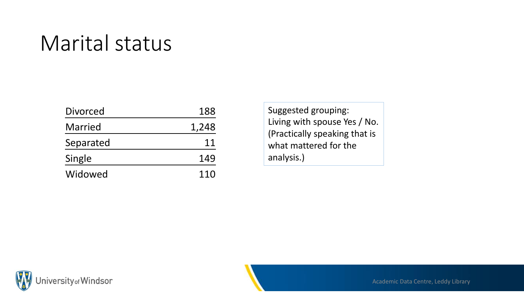#### Marital status

| <b>Divorced</b> | 188   |
|-----------------|-------|
| <b>Married</b>  | 1,248 |
| Separated       | 11    |
| Single          | 149   |
| Widowed         | 110   |

Suggested grouping: Living with spouse Yes / No. (Practically speaking that is what mattered for the analysis.)

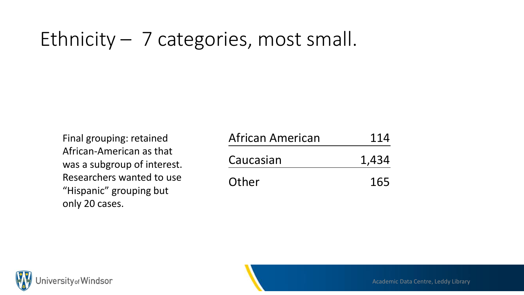#### Ethnicity – 7 categories, most small.

Final grouping: retained African-American as that was a subgroup of interest. Researchers wanted to use "Hispanic" grouping but only 20 cases.

| African American | 114   |
|------------------|-------|
| Caucasian        | 1,434 |
| Other            | 165   |

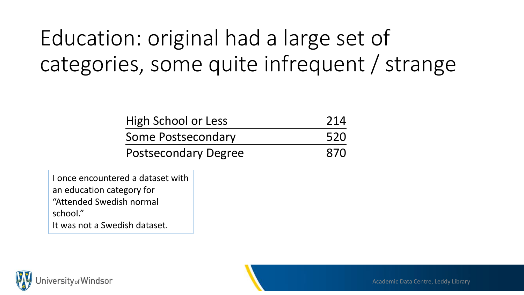#### Education: original had a large set of categories, some quite infrequent / strange

| <b>High School or Less</b>  | 214 |
|-----------------------------|-----|
| <b>Some Postsecondary</b>   | 520 |
| <b>Postsecondary Degree</b> | 870 |

I once encountered a dataset with an education category for "Attended Swedish normal school."

It was not a Swedish dataset.

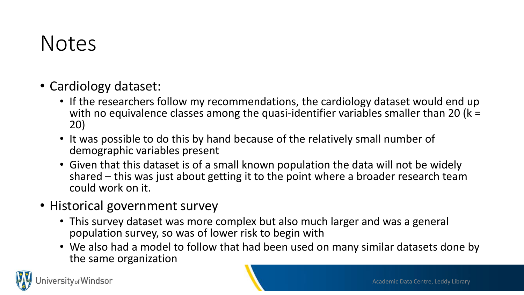#### Notes

- Cardiology dataset:
	- If the researchers follow my recommendations, the cardiology dataset would end up with no equivalence classes among the quasi-identifier variables smaller than 20 ( $k =$ 20)
	- It was possible to do this by hand because of the relatively small number of demographic variables present
	- Given that this dataset is of a small known population the data will not be widely shared – this was just about getting it to the point where a broader research team could work on it.
- Historical government survey
	- This survey dataset was more complex but also much larger and was a general population survey, so was of lower risk to begin with
	- We also had a model to follow that had been used on many similar datasets done by the same organization